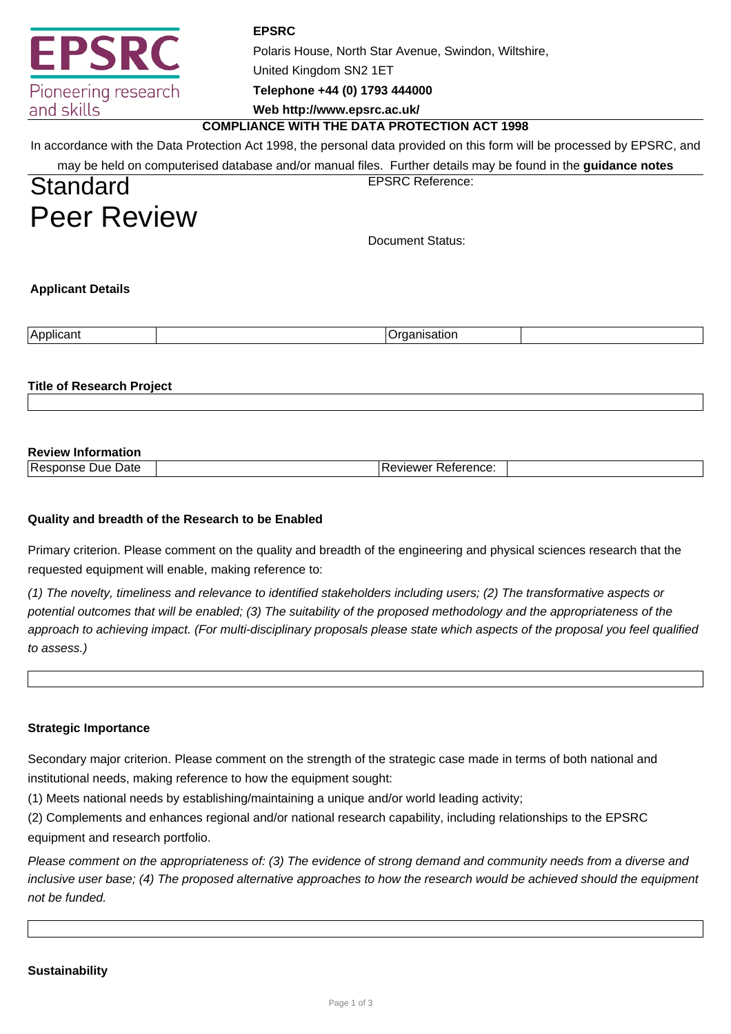

**EPSRC** Polaris House, North Star Avenue, Swindon, Wiltshire, United Kingdom SN2 1ET **Telephone +44 (0) 1793 444000**

**Web http://www.epsrc.ac.uk/**

### **COMPLIANCE WITH THE DATA PROTECTION ACT 1998**

In accordance with the Data Protection Act 1998, the personal data provided on this form will be processed by EPSRC, and

| may be held on computerised database and/or manual files. Further details may be found in the guidance notes |  |
|--------------------------------------------------------------------------------------------------------------|--|
|--------------------------------------------------------------------------------------------------------------|--|

**Standard** Peer Review EPSRC Reference:

Document Status:

**Applicant Details**

| . .<br>$\mathbf{r}$<br>,,,,<br>п<br>. . |
|-----------------------------------------|
|-----------------------------------------|

**Title of Research Project**

# **Review Information**

| $\sqrt{2}$<br>Jate<br>TRP <sup>r</sup><br>55 | ™−<br>- I I UU |  |
|----------------------------------------------|----------------|--|
|                                              |                |  |

## **Quality and breadth of the Research to be Enabled**

Primary criterion. Please comment on the quality and breadth of the engineering and physical sciences research that the requested equipment will enable, making reference to:

(1) The novelty, timeliness and relevance to identified stakeholders including users; (2) The transformative aspects or potential outcomes that will be enabled; (3) The suitability of the proposed methodology and the appropriateness of the approach to achieving impact. (For multi-disciplinary proposals please state which aspects of the proposal you feel qualified to assess.)

### **Strategic Importance**

Secondary major criterion. Please comment on the strength of the strategic case made in terms of both national and institutional needs, making reference to how the equipment sought:

(1) Meets national needs by establishing/maintaining a unique and/or world leading activity;

(2) Complements and enhances regional and/or national research capability, including relationships to the EPSRC equipment and research portfolio.

Please comment on the appropriateness of: (3) The evidence of strong demand and community needs from a diverse and inclusive user base; (4) The proposed alternative approaches to how the research would be achieved should the equipment not be funded.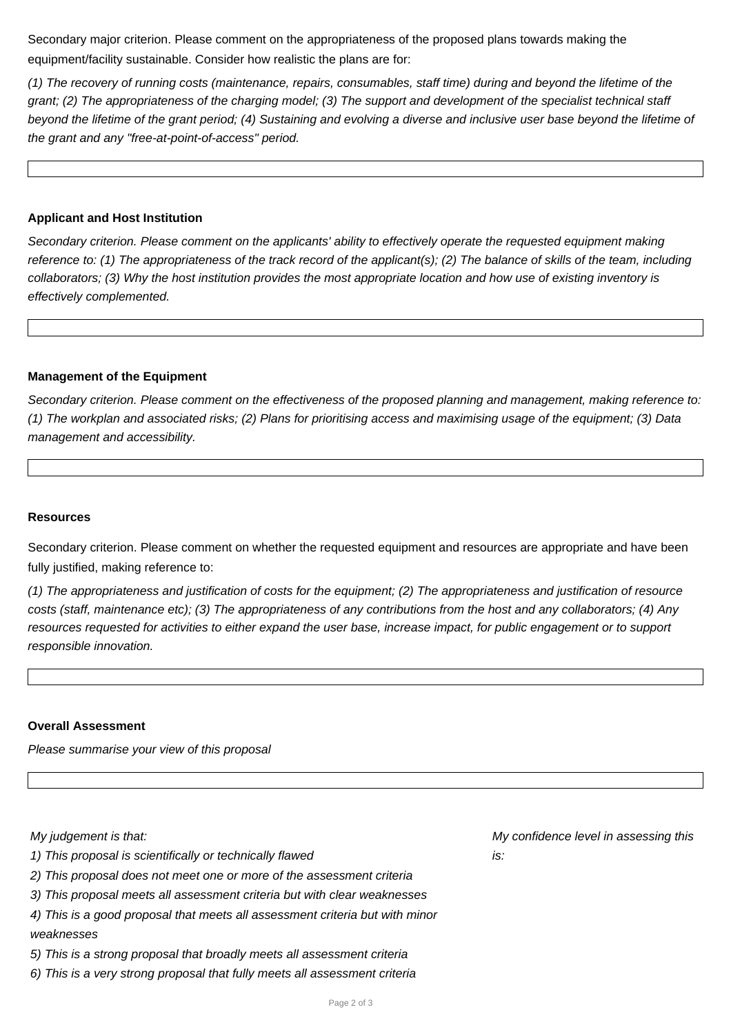Secondary major criterion. Please comment on the appropriateness of the proposed plans towards making the equipment/facility sustainable. Consider how realistic the plans are for:

(1) The recovery of running costs (maintenance, repairs, consumables, staff time) during and beyond the lifetime of the grant; (2) The appropriateness of the charging model; (3) The support and development of the specialist technical staff beyond the lifetime of the grant period; (4) Sustaining and evolving a diverse and inclusive user base beyond the lifetime of the grant and any "free-at-point-of-access" period.

#### **Applicant and Host Institution**

Secondary criterion. Please comment on the applicants' ability to effectively operate the requested equipment making reference to: (1) The appropriateness of the track record of the applicant(s); (2) The balance of skills of the team, including collaborators; (3) Why the host institution provides the most appropriate location and how use of existing inventory is effectively complemented.

#### **Management of the Equipment**

Secondary criterion. Please comment on the effectiveness of the proposed planning and management, making reference to: (1) The workplan and associated risks; (2) Plans for prioritising access and maximising usage of the equipment; (3) Data management and accessibility.

#### **Resources**

Secondary criterion. Please comment on whether the requested equipment and resources are appropriate and have been fully justified, making reference to:

(1) The appropriateness and justification of costs for the equipment; (2) The appropriateness and justification of resource costs (staff, maintenance etc); (3) The appropriateness of any contributions from the host and any collaborators; (4) Any resources requested for activities to either expand the user base, increase impact, for public engagement or to support responsible innovation.

#### **Overall Assessment**

Please summarise your view of this proposal

My judgement is that:

- 1) This proposal is scientifically or technically flawed
- 2) This proposal does not meet one or more of the assessment criteria
- 3) This proposal meets all assessment criteria but with clear weaknesses
- 4) This is a good proposal that meets all assessment criteria but with minor weaknesses
- 5) This is a strong proposal that broadly meets all assessment criteria
- 6) This is a very strong proposal that fully meets all assessment criteria

My confidence level in assessing this  $i$ s $\cdot$